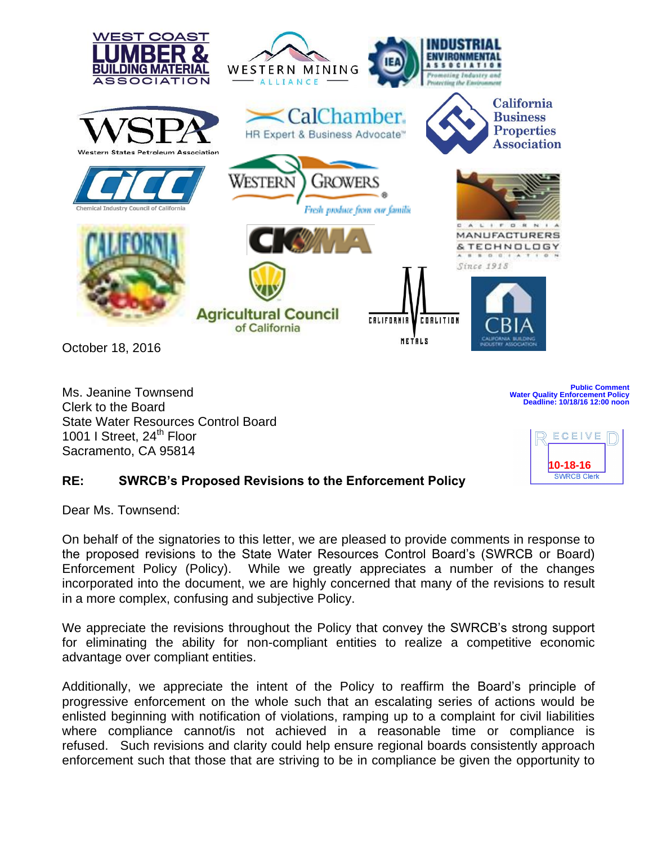

Ms. Jeanine Townsend Clerk to the Board State Water Resources Control Board 1001 I Street, 24<sup>th</sup> Floor Sacramento, CA 95814

**ECEIVE F** 

**10-18-16**<br> **SWRCB Clerk** 

**Water Quality Enforcement Policy** Deadline: 10/18/16 12:00 noo

**Public Comment**

## **RE: SWRCB's Proposed Revisions to the Enforcement Policy**

Dear Ms. Townsend:

On behalf of the signatories to this letter, we are pleased to provide comments in response to the proposed revisions to the State Water Resources Control Board's (SWRCB or Board) Enforcement Policy (Policy). While we greatly appreciates a number of the changes incorporated into the document, we are highly concerned that many of the revisions to result in a more complex, confusing and subjective Policy.

We appreciate the revisions throughout the Policy that convey the SWRCB's strong support for eliminating the ability for non-compliant entities to realize a competitive economic advantage over compliant entities.

Additionally, we appreciate the intent of the Policy to reaffirm the Board's principle of progressive enforcement on the whole such that an escalating series of actions would be enlisted beginning with notification of violations, ramping up to a complaint for civil liabilities where compliance cannot/is not achieved in a reasonable time or compliance is refused. Such revisions and clarity could help ensure regional boards consistently approach enforcement such that those that are striving to be in compliance be given the opportunity to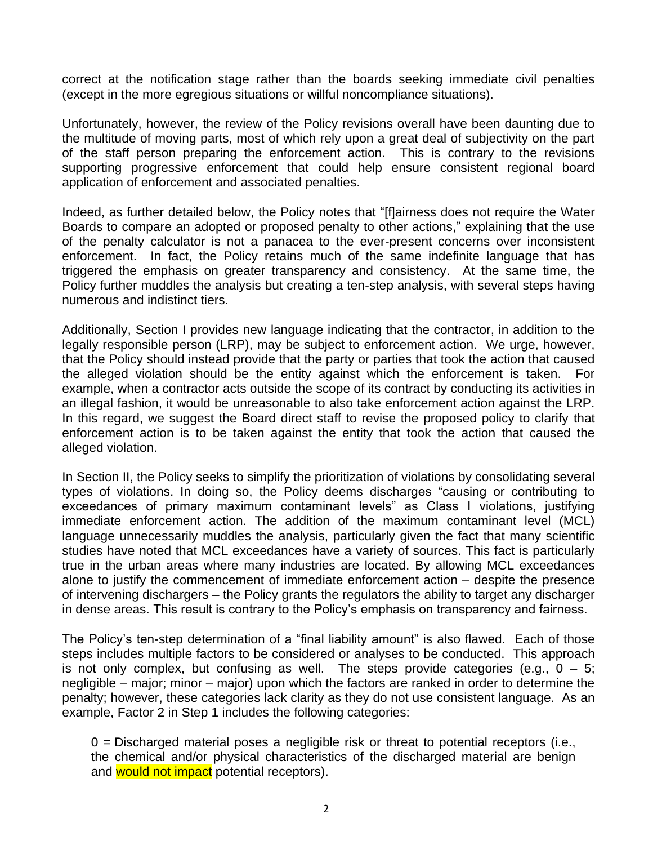correct at the notification stage rather than the boards seeking immediate civil penalties (except in the more egregious situations or willful noncompliance situations).

Unfortunately, however, the review of the Policy revisions overall have been daunting due to the multitude of moving parts, most of which rely upon a great deal of subjectivity on the part of the staff person preparing the enforcement action. This is contrary to the revisions supporting progressive enforcement that could help ensure consistent regional board application of enforcement and associated penalties.

Indeed, as further detailed below, the Policy notes that "[f]airness does not require the Water Boards to compare an adopted or proposed penalty to other actions," explaining that the use of the penalty calculator is not a panacea to the ever-present concerns over inconsistent enforcement. In fact, the Policy retains much of the same indefinite language that has triggered the emphasis on greater transparency and consistency. At the same time, the Policy further muddles the analysis but creating a ten-step analysis, with several steps having numerous and indistinct tiers.

Additionally, Section I provides new language indicating that the contractor, in addition to the legally responsible person (LRP), may be subject to enforcement action. We urge, however, that the Policy should instead provide that the party or parties that took the action that caused the alleged violation should be the entity against which the enforcement is taken. For example, when a contractor acts outside the scope of its contract by conducting its activities in an illegal fashion, it would be unreasonable to also take enforcement action against the LRP. In this regard, we suggest the Board direct staff to revise the proposed policy to clarify that enforcement action is to be taken against the entity that took the action that caused the alleged violation.

In Section II, the Policy seeks to simplify the prioritization of violations by consolidating several types of violations. In doing so, the Policy deems discharges "causing or contributing to exceedances of primary maximum contaminant levels" as Class I violations, justifying immediate enforcement action. The addition of the maximum contaminant level (MCL) language unnecessarily muddles the analysis, particularly given the fact that many scientific studies have noted that MCL exceedances have a variety of sources. This fact is particularly true in the urban areas where many industries are located. By allowing MCL exceedances alone to justify the commencement of immediate enforcement action – despite the presence of intervening dischargers – the Policy grants the regulators the ability to target any discharger in dense areas. This result is contrary to the Policy's emphasis on transparency and fairness.

The Policy's ten-step determination of a "final liability amount" is also flawed. Each of those steps includes multiple factors to be considered or analyses to be conducted. This approach is not only complex, but confusing as well. The steps provide categories (e.g.,  $0 - 5$ ; negligible – major; minor – major) upon which the factors are ranked in order to determine the penalty; however, these categories lack clarity as they do not use consistent language. As an example, Factor 2 in Step 1 includes the following categories:

 $0 =$  Discharged material poses a negligible risk or threat to potential receptors (i.e., the chemical and/or physical characteristics of the discharged material are benign and would not impact potential receptors).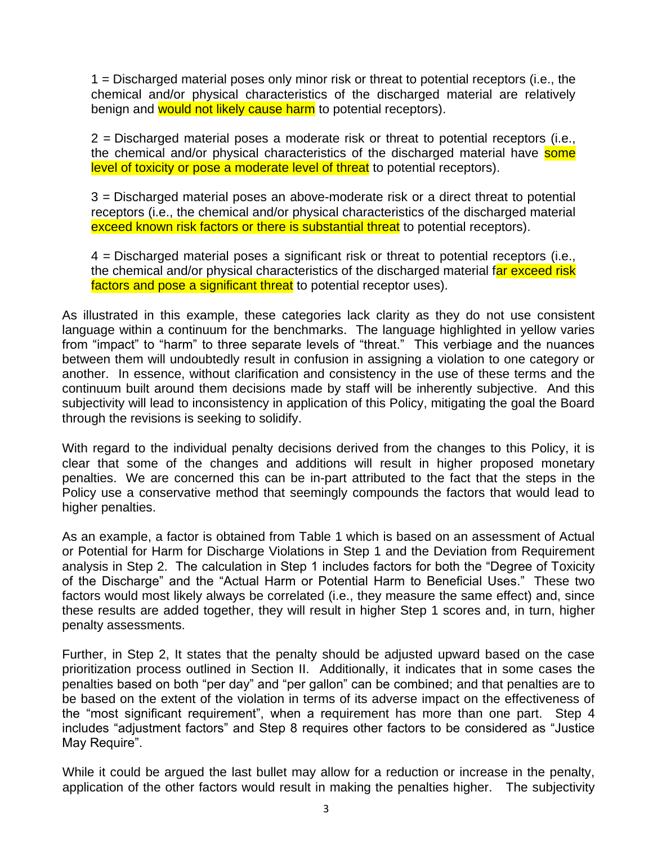1 = Discharged material poses only minor risk or threat to potential receptors (i.e., the chemical and/or physical characteristics of the discharged material are relatively benign and would not likely cause harm to potential receptors).

2 = Discharged material poses a moderate risk or threat to potential receptors (i.e., the chemical and/or physical characteristics of the discharged material have some level of toxicity or pose a moderate level of threat to potential receptors).

3 = Discharged material poses an above-moderate risk or a direct threat to potential receptors (i.e., the chemical and/or physical characteristics of the discharged material exceed known risk factors or there is substantial threat to potential receptors).

4 = Discharged material poses a significant risk or threat to potential receptors (i.e., the chemical and/or physical characteristics of the discharged material far exceed risk factors and pose a significant threat to potential receptor uses).

As illustrated in this example, these categories lack clarity as they do not use consistent language within a continuum for the benchmarks. The language highlighted in yellow varies from "impact" to "harm" to three separate levels of "threat." This verbiage and the nuances between them will undoubtedly result in confusion in assigning a violation to one category or another. In essence, without clarification and consistency in the use of these terms and the continuum built around them decisions made by staff will be inherently subjective. And this subjectivity will lead to inconsistency in application of this Policy, mitigating the goal the Board through the revisions is seeking to solidify.

With regard to the individual penalty decisions derived from the changes to this Policy, it is clear that some of the changes and additions will result in higher proposed monetary penalties. We are concerned this can be in-part attributed to the fact that the steps in the Policy use a conservative method that seemingly compounds the factors that would lead to higher penalties.

As an example, a factor is obtained from Table 1 which is based on an assessment of Actual or Potential for Harm for Discharge Violations in Step 1 and the Deviation from Requirement analysis in Step 2. The calculation in Step 1 includes factors for both the "Degree of Toxicity of the Discharge" and the "Actual Harm or Potential Harm to Beneficial Uses." These two factors would most likely always be correlated (i.e., they measure the same effect) and, since these results are added together, they will result in higher Step 1 scores and, in turn, higher penalty assessments.

Further, in Step 2, It states that the penalty should be adjusted upward based on the case prioritization process outlined in Section II. Additionally, it indicates that in some cases the penalties based on both "per day" and "per gallon" can be combined; and that penalties are to be based on the extent of the violation in terms of its adverse impact on the effectiveness of the "most significant requirement", when a requirement has more than one part. Step 4 includes "adjustment factors" and Step 8 requires other factors to be considered as "Justice May Require".

While it could be argued the last bullet may allow for a reduction or increase in the penalty, application of the other factors would result in making the penalties higher. The subjectivity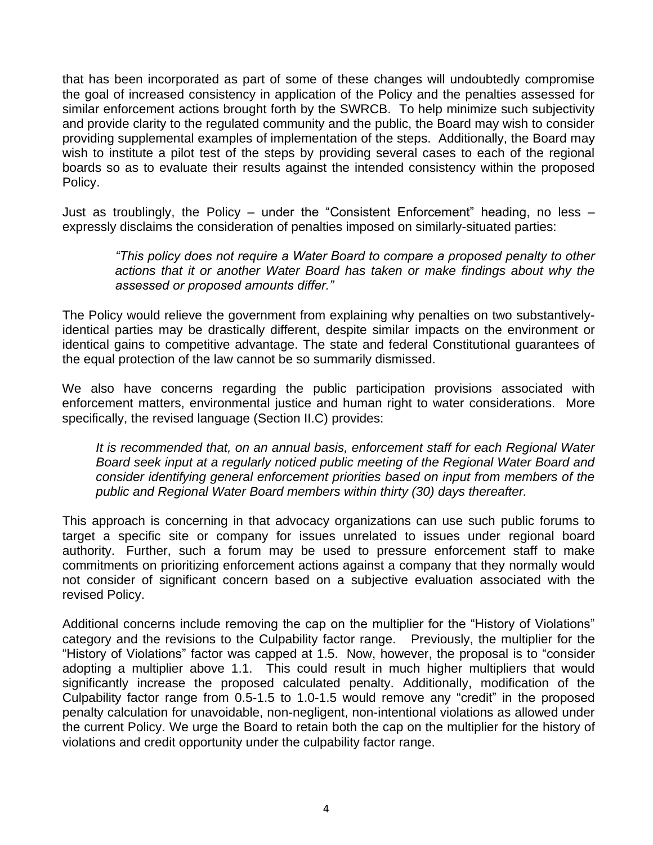that has been incorporated as part of some of these changes will undoubtedly compromise the goal of increased consistency in application of the Policy and the penalties assessed for similar enforcement actions brought forth by the SWRCB. To help minimize such subjectivity and provide clarity to the regulated community and the public, the Board may wish to consider providing supplemental examples of implementation of the steps. Additionally, the Board may wish to institute a pilot test of the steps by providing several cases to each of the regional boards so as to evaluate their results against the intended consistency within the proposed Policy.

Just as troublingly, the Policy – under the "Consistent Enforcement" heading, no less – expressly disclaims the consideration of penalties imposed on similarly-situated parties:

*"This policy does not require a Water Board to compare a proposed penalty to other actions that it or another Water Board has taken or make findings about why the assessed or proposed amounts differ."* 

The Policy would relieve the government from explaining why penalties on two substantivelyidentical parties may be drastically different, despite similar impacts on the environment or identical gains to competitive advantage. The state and federal Constitutional guarantees of the equal protection of the law cannot be so summarily dismissed.

We also have concerns regarding the public participation provisions associated with enforcement matters, environmental justice and human right to water considerations. More specifically, the revised language (Section II.C) provides:

*It is recommended that, on an annual basis, enforcement staff for each Regional Water Board seek input at a regularly noticed public meeting of the Regional Water Board and consider identifying general enforcement priorities based on input from members of the public and Regional Water Board members within thirty (30) days thereafter.*

This approach is concerning in that advocacy organizations can use such public forums to target a specific site or company for issues unrelated to issues under regional board authority. Further, such a forum may be used to pressure enforcement staff to make commitments on prioritizing enforcement actions against a company that they normally would not consider of significant concern based on a subjective evaluation associated with the revised Policy.

Additional concerns include removing the cap on the multiplier for the "History of Violations" category and the revisions to the Culpability factor range. Previously, the multiplier for the "History of Violations" factor was capped at 1.5. Now, however, the proposal is to "consider adopting a multiplier above 1.1. This could result in much higher multipliers that would significantly increase the proposed calculated penalty. Additionally, modification of the Culpability factor range from 0.5-1.5 to 1.0-1.5 would remove any "credit" in the proposed penalty calculation for unavoidable, non-negligent, non-intentional violations as allowed under the current Policy. We urge the Board to retain both the cap on the multiplier for the history of violations and credit opportunity under the culpability factor range.